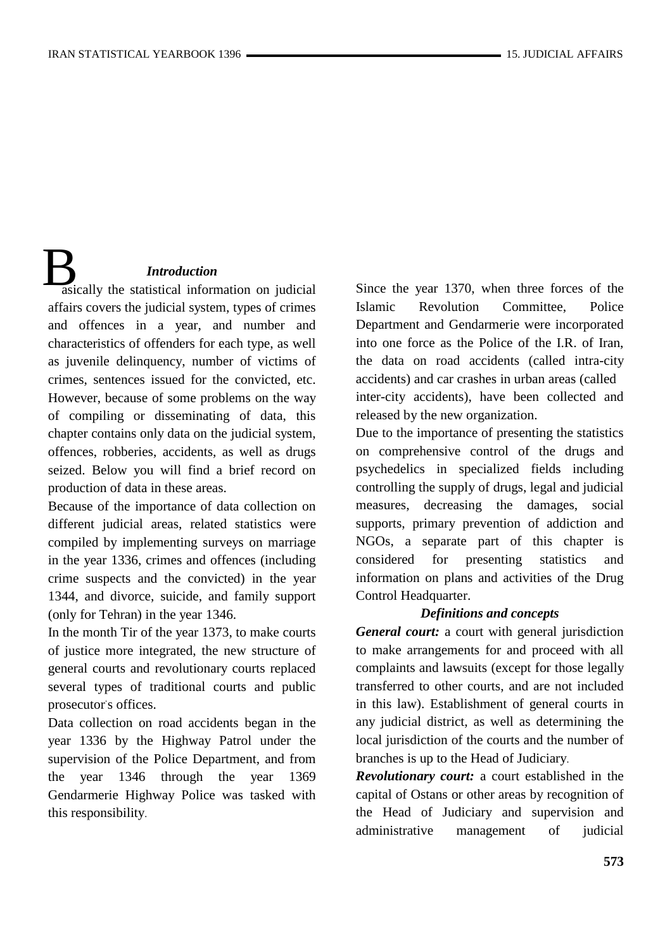# *Introduction*

**B**<br>asically the statistical information on judicial affairs covers the judicial system, types of crimes and offences in a year, and number and characteristics of offenders for each type, as well as juvenile delinquency, number of victims of crimes, sentences issued for the convicted, etc. However, because of some problems on the way of compiling or disseminating of data, this chapter contains only data on the judicial system, offences, robberies, accidents, as well as drugs seized. Below you will find a brief record on production of data in these areas.

Because of the importance of data collection on different judicial areas, related statistics were compiled by implementing surveys on marriage in the year 1336, crimes and offences (including crime suspects and the convicted) in the year 1344, and divorce, suicide, and family support (only for Tehran) in the year 1346.

In the month Tir of the year 1373, to make courts of justice more integrated, the new structure of general courts and revolutionary courts replaced several types of traditional courts and public prosecutor's offices.

Data collection on road accidents began in the year 1336 by the Highway Patrol under the supervision of the Police Department, and from the year 1346 through the year 1369 Gendarmerie Highway Police was tasked with this responsibility.

Since the year 1370, when three forces of the Islamic Revolution Committee, Police Department and Gendarmerie were incorporated into one force as the Police of the I.R. of Iran, the data on road accidents (called intra-city accidents) and car crashes in urban areas (called inter-city accidents), have been collected and released by the new organization.

Due to the importance of presenting the statistics on comprehensive control of the drugs and psychedelics in specialized fields including controlling the supply of drugs, legal and judicial measures, decreasing the damages, social supports, primary prevention of addiction and NGOs, a separate part of this chapter is considered for presenting statistics and information on plans and activities of the Drug Control Headquarter.

#### *Definitions and concepts*

*General court:* a court with general jurisdiction to make arrangements for and proceed with all complaints and lawsuits (except for those legally transferred to other courts, and are not included in this law). Establishment of general courts in any judicial district, as well as determining the local jurisdiction of the courts and the number of branches is up to the Head of Judiciary.

*Revolutionary court:* a court established in the capital of Ostans or other areas by recognition of the Head of Judiciary and supervision and administrative management of judicial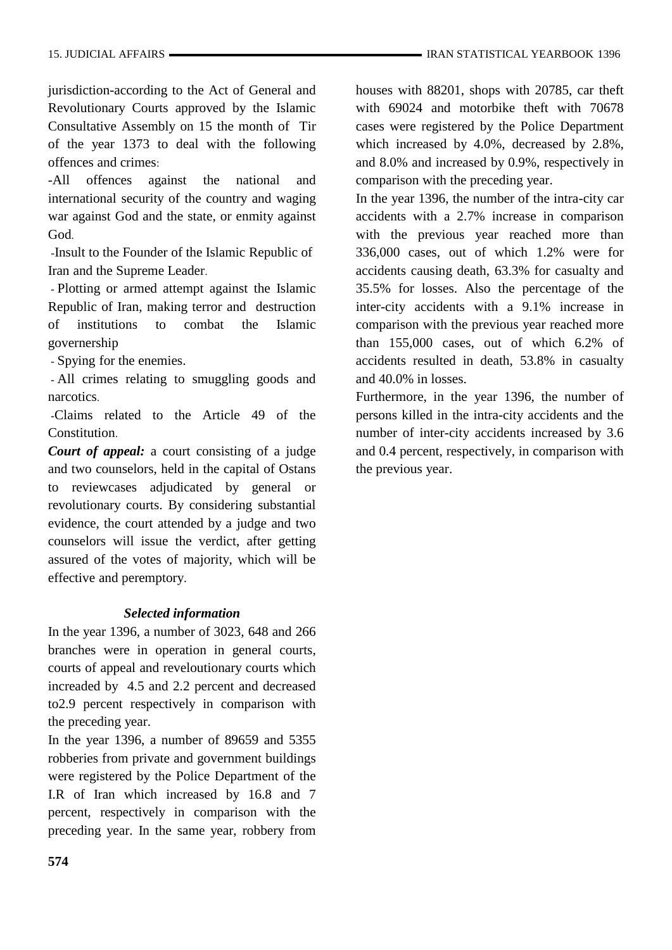jurisdiction-according to the Act of General and Revolutionary Courts approved by the Islamic Consultative Assembly on 15 the month of Tir of the year 1373 to deal with the following offences and crimes:

-All offences against the national and international security of the country and waging war against God and the state, or enmity against God.

-Insult to the Founder of the Islamic Republic of Iran and the Supreme Leader.

- Plotting or armed attempt against the Islamic Republic of Iran, making terror and destruction of institutions to combat the Islamic governership

- Spying for the enemies.

- All crimes relating to smuggling goods and narcotics.

-Claims related to the Article 49 of the Constitution.

*Court of appeal:* a court consisting of a judge and two counselors, held in the capital of Ostans to reviewcases adjudicated by general or revolutionary courts. By considering substantial evidence, the court attended by a judge and two counselors will issue the verdict, after getting assured of the votes of majority, which will be effective and peremptory.

### *Selected information*

In the year 1396, a number of 3023, 648 and 266 branches were in operation in general courts, courts of appeal and reveloutionary courts which increaded by 4.5 and 2.2 percent and decreased to2.9 percent respectively in comparison with the preceding year.

In the year 1396, a number of 89659 and 5355 robberies from private and government buildings were registered by the Police Department of the I.R of Iran which increased by 16.8 and 7 percent, respectively in comparison with the preceding year. In the same year, robbery from

houses with 88201, shops with 20785, car theft with 69024 and motorbike theft with 70678 cases were registered by the Police Department which increased by 4.0%, decreased by 2.8%, and 8.0% and increased by 0.9%, respectively in comparison with the preceding year.

In the year 1396, the number of the intra-city car accidents with a 2.7% increase in comparison with the previous year reached more than 336,000 cases, out of which 1.2% were for accidents causing death, 63.3% for casualty and 35.5% for losses. Also the percentage of the inter-city accidents with a 9.1% increase in comparison with the previous year reached more than 155,000 cases, out of which 6.2% of accidents resulted in death, 53.8% in casualty and 40.0% in losses.

Furthermore, in the year 1396, the number of persons killed in the intra-city accidents and the number of inter-city accidents increased by 3.6 and 0.4 percent, respectively, in comparison with the previous year.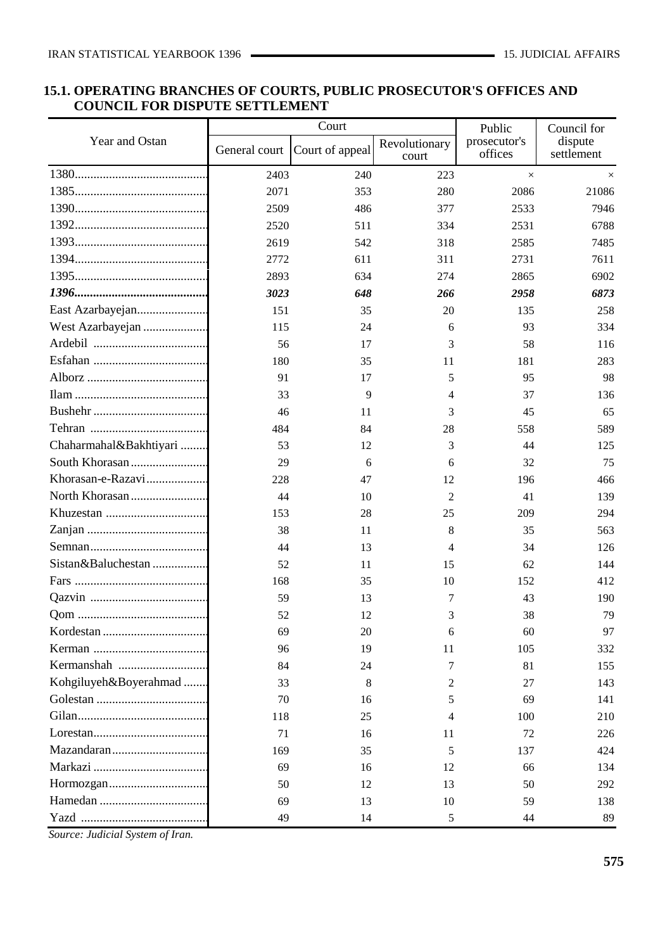## **15.1. OPERATING BRANCHES OF COURTS, PUBLIC PROSECUTOR'S OFFICES AND COUNCIL FOR DISPUTE SETTLEMENT**

|                                                                                    |               | Court           |                        | Public                  | Council for           |
|------------------------------------------------------------------------------------|---------------|-----------------|------------------------|-------------------------|-----------------------|
| Year and Ostan                                                                     | General court | Court of appeal | Revolutionary<br>court | prosecutor's<br>offices | dispute<br>settlement |
|                                                                                    | 2403          | 240             | 223                    | $\times$                | $\times$              |
|                                                                                    | 2071          | 353             | 280                    | 2086                    | 21086                 |
|                                                                                    | 2509          | 486             | 377                    | 2533                    | 7946                  |
|                                                                                    | 2520          | 511             | 334                    | 2531                    | 6788                  |
|                                                                                    | 2619          | 542             | 318                    | 2585                    | 7485                  |
|                                                                                    | 2772          | 611             | 311                    | 2731                    | 7611                  |
|                                                                                    | 2893          | 634             | 274                    | 2865                    | 6902                  |
|                                                                                    | 3023          | 648             | 266                    | 2958                    | 6873                  |
| East Azarbayejan                                                                   | 151           | 35              | 20                     | 135                     | 258                   |
| West Azarbayejan                                                                   | 115           | 24              | 6                      | 93                      | 334                   |
|                                                                                    | 56            | 17              | 3                      | 58                      | 116                   |
|                                                                                    | 180           | 35              | 11                     | 181                     | 283                   |
|                                                                                    | 91            | 17              | 5                      | 95                      | 98                    |
|                                                                                    | 33            | 9               | 4                      | 37                      | 136                   |
|                                                                                    | 46            | 11              | 3                      | 45                      | 65                    |
|                                                                                    | 484           | 84              | 28                     | 558                     | 589                   |
| Chaharmahal&Bakhtiyari                                                             | 53            | 12              | 3                      | 44                      | 125                   |
|                                                                                    | 29            | 6               | 6                      | 32                      | 75                    |
| Khorasan-e-Razavi                                                                  | 228           | 47              | 12                     | 196                     | 466                   |
|                                                                                    | 44            | 10              | $\overline{2}$         | 41                      | 139                   |
|                                                                                    | 153           | 28              | 25                     | 209                     | 294                   |
|                                                                                    | 38            | 11              | 8                      | 35                      | 563                   |
|                                                                                    | 44            | 13              | 4                      | 34                      | 126                   |
| Sistan&Baluchestan                                                                 | 52            | 11              | 15                     | 62                      | 144                   |
|                                                                                    | 168           | 35              | 10                     | 152                     | 412                   |
|                                                                                    | 59            | 13              | 7                      | 43                      | 190                   |
|                                                                                    | 52            | 12              | 3                      | 38                      | 79                    |
|                                                                                    | 69            | 20              | 6                      | 60                      | 97                    |
|                                                                                    | 96            | 19              | 11                     | 105                     | 332                   |
|                                                                                    | 84            | 24              | 7                      | 81                      | 155                   |
| Kohgiluyeh&Boyerahmad                                                              | 33            | 8               | 2                      | 27                      | 143                   |
|                                                                                    | 70            | 16              | 5                      | 69                      | 141                   |
|                                                                                    | 118           | 25              | 4                      | 100                     | 210                   |
| $Lores \tan \ldots \ldots \ldots \ldots \ldots \ldots \ldots \ldots \ldots \ldots$ | 71            | 16              | 11                     | 72                      | 226                   |
|                                                                                    | 169           | 35              | 5                      | 137                     | 424                   |
|                                                                                    | 69            | 16              | 12                     | 66                      | 134                   |
|                                                                                    | 50            | 12              | 13                     | 50                      | 292                   |
|                                                                                    | 69            | 13              | 10                     | 59                      | 138                   |
|                                                                                    | 49            | 14              | 5                      | 44                      | 89                    |

*Source: Judicial System of Iran.*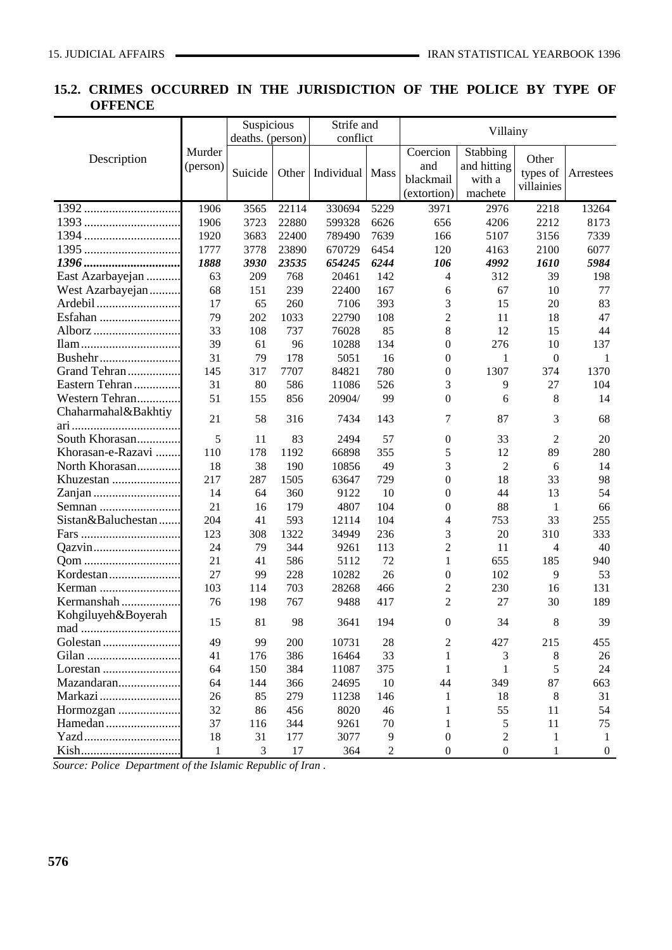# **15.2. CRIMES OCCURRED IN THE JURISDICTION OF THE POLICE BY TYPE OF OFFENCE**

|                     |                    | Suspicious       |       | Strife and |                | Villainy                         |                                    |                  |                       |
|---------------------|--------------------|------------------|-------|------------|----------------|----------------------------------|------------------------------------|------------------|-----------------------|
|                     |                    | deaths. (person) |       | conflict   |                |                                  |                                    |                  |                       |
| Description         | Murder<br>(person) |                  |       |            |                | Coercion<br>and                  | Stabbing<br>and hitting            | Other            |                       |
|                     |                    | Suicide          | Other | Individual | Mass           | blackmail                        | with a                             | types of         | Arrestees             |
|                     |                    |                  |       |            |                | (extortion)                      | machete                            | villainies       |                       |
|                     | 1906               | 3565             | 22114 | 330694     | 5229           | 3971                             | 2976                               | 2218             | 13264                 |
|                     | 1906               | 3723             | 22880 | 599328     | 6626           | 656                              | 4206                               | 2212             | 8173                  |
| 1394                | 1920               | 3683             | 22400 | 789490     | 7639           | 166                              | 5107                               | 3156             | 7339                  |
|                     | 1777               | 3778             | 23890 | 670729     | 6454           | 120                              | 4163                               | 2100             | 6077                  |
|                     | 1888               | 3930             | 23535 | 654245     | 6244           | 106                              | 4992                               | 1610             | 5984                  |
| East Azarbayejan    | 63                 | 209              | 768   | 20461      | 142            | 4                                | 312                                | 39               | 198                   |
| West Azarbayejan    | 68                 | 151              | 239   | 22400      | 167            | 6                                | 67                                 | 10               | 77                    |
| Ardebil             | 17                 | 65               | 260   | 7106       | 393            | 3                                | 15                                 | 20               | 83                    |
| Esfahan             | 79                 | 202              | 1033  | 22790      | 108            | $\overline{c}$                   | 11                                 | 18               | 47                    |
| Alborz              | 33                 | 108              | 737   | 76028      | 85             | 8                                | 12                                 | 15               | 44                    |
|                     | 39                 | 61               | 96    | 10288      | 134            | $\boldsymbol{0}$                 | 276                                | 10               | 137                   |
| Bushehr             | 31                 | 79               | 178   | 5051       | 16             | $\boldsymbol{0}$                 | 1                                  | $\boldsymbol{0}$ | 1                     |
| Grand Tehran        | 145                | 317              | 7707  | 84821      | 780            | $\boldsymbol{0}$                 | 1307                               | 374              | 1370                  |
| Eastern Tehran      | 31                 | 80               | 586   | 11086      | 526            | 3                                | 9                                  | 27               | 104                   |
| Western Tehran      | 51                 | 155              | 856   | 20904/     | 99             | $\boldsymbol{0}$                 | 6                                  | 8                | 14                    |
| Chaharmahal&Bakhtiy | 21                 | 58               | 316   | 7434       | 143            | 7                                | 87                                 | 3                | 68                    |
|                     |                    |                  |       |            |                |                                  |                                    |                  |                       |
| South Khorasan      | 5                  | 11               | 83    | 2494       | 57             | $\boldsymbol{0}$                 | 33                                 | 2                | 20                    |
| Khorasan-e-Razavi   | 110                | 178              | 1192  | 66898      | 355            | 5                                | 12                                 | 89               | 280                   |
| North Khorasan      | 18                 | 38               | 190   | 10856      | 49             | 3                                | $\overline{c}$                     | 6                | 14                    |
| Khuzestan           | 217                | 287              | 1505  | 63647      | 729            | $\boldsymbol{0}$                 | 18                                 | 33               | 98                    |
|                     | 14                 | 64               | 360   | 9122       | 10             | $\boldsymbol{0}$                 | 44                                 | 13               | 54                    |
| Semnan              | 21                 | 16               | 179   | 4807       | 104            | $\boldsymbol{0}$                 | 88                                 | 1                | 66                    |
| Sistan&Baluchestan  | 204                | 41               | 593   | 12114      | 104            | 4                                | 753                                | 33               | 255                   |
|                     | 123                | 308              | 1322  | 34949      | 236            | 3                                | 20                                 | 310              | 333                   |
| Qazvin              | 24                 | 79               | 344   | 9261       | 113            | $\overline{c}$                   | 11                                 | $\overline{4}$   | 40                    |
| Qom                 | 21                 | 41               | 586   | 5112       | 72             | $\mathbf{1}$                     | 655                                | 185              | 940                   |
| Kordestan           | 27                 | 99               | 228   | 10282      | 26             | $\boldsymbol{0}$                 | 102                                | 9                | 53                    |
| Kerman              | 103                | 114              | 703   | 28268      | 466            | $\overline{c}$                   | 230                                | 16               | 131                   |
| Kermanshah          | 76                 | 198              | 767   | 9488       | 417            | $\overline{c}$                   | 27                                 | 30               | 189                   |
| Kohgiluyeh&Boyerah  | 15                 | $81\,$           | 98    | 3641       | 194            | $\boldsymbol{0}$                 | 34                                 | $8\phantom{.}$   | 39                    |
|                     | 49                 |                  |       |            |                |                                  |                                    |                  |                       |
|                     |                    | 99               | 200   | 10731      | 28             | 2                                | 427                                | 215              | 455                   |
|                     | 41                 | 176              | 386   | 16464      | 33             | 1                                | 3                                  | 8                | 26                    |
| Lorestan            | 64                 | 150              | 384   | 11087      | 375            | 1                                | 1                                  | 5                | 24                    |
| Mazandaran          | 64                 | 144              | 366   | 24695      | 10             | 44                               | 349                                | 87               | 663                   |
| Markazi             | 26                 | 85               | 279   | 11238      | 146            | 1                                | 18                                 | 8                | 31                    |
| Hormozgan           | 32                 | 86               | 456   | 8020       | 46             | 1                                | 55                                 | 11               | 54                    |
| Hamedan<br>Yazd     | 37                 | 116              | 344   | 9261       | 70             | 1                                | 5                                  | 11               | 75                    |
|                     | 18                 | 31               | 177   | 3077       | 9              | $\boldsymbol{0}$<br>$\mathbf{0}$ | $\overline{c}$<br>$\boldsymbol{0}$ | 1<br>1           | 1<br>$\boldsymbol{0}$ |
|                     | $\mathbf{1}$       | 3                | 17    | 364        | $\overline{2}$ |                                  |                                    |                  |                       |

*Source: Police Department of the Islamic Republic of Iran .*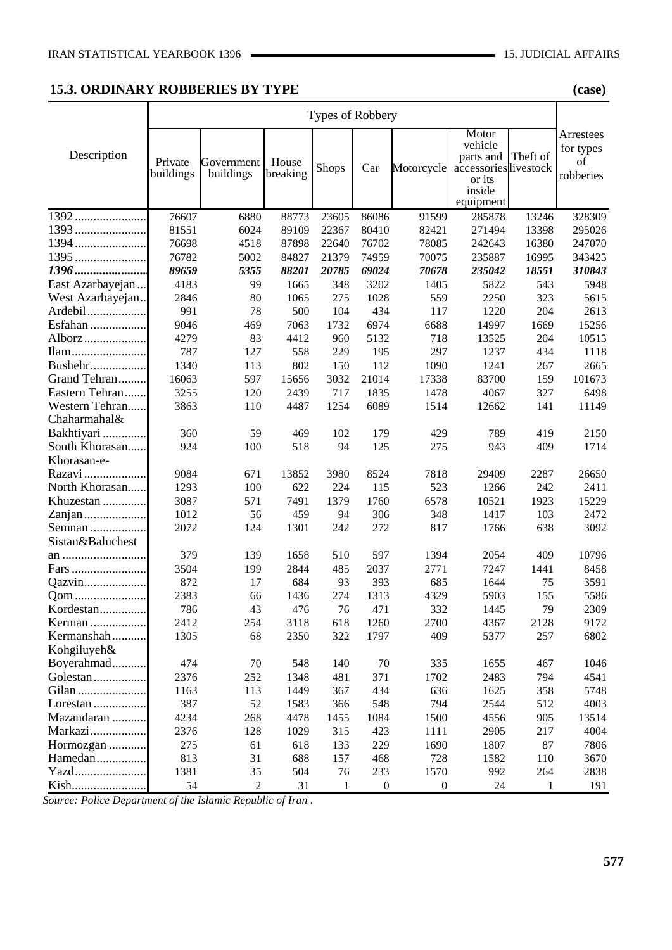#### **15.3. ORDINARY ROBBERIES BY TYPE (case)**

|                   | Types of Robbery     |                         |                   |              |                  |                  |                                                                                         |          |                                           |
|-------------------|----------------------|-------------------------|-------------------|--------------|------------------|------------------|-----------------------------------------------------------------------------------------|----------|-------------------------------------------|
| Description       | Private<br>buildings | Government<br>buildings | House<br>breaking | Shops        | Car              | Motorcycle       | Motor<br>vehicle<br>parts and<br>accessories livestock<br>or its<br>inside<br>equipment | Theft of | Arrestees<br>for types<br>of<br>robberies |
| $1392$            | 76607                | 6880                    | 88773             | 23605        | 86086            | 91599            | 285878                                                                                  | 13246    | 328309                                    |
| 1393              | 81551                | 6024                    | 89109             | 22367        | 80410            | 82421            | 271494                                                                                  | 13398    | 295026                                    |
|                   | 76698                | 4518                    | 87898             | 22640        | 76702            | 78085            | 242643                                                                                  | 16380    | 247070                                    |
|                   | 76782                | 5002                    | 84827             | 21379        | 74959            | 70075            | 235887                                                                                  | 16995    | 343425                                    |
| 1396              | 89659                | 5355                    | 88201             | 20785        | 69024            | 70678            | 235042                                                                                  | 18551    | 310843                                    |
| East Azarbayejan  | 4183                 | 99                      | 1665              | 348          | 3202             | 1405             | 5822                                                                                    | 543      | 5948                                      |
| West Azarbayejan. | 2846                 | 80                      | 1065              | 275          | 1028             | 559              | 2250                                                                                    | 323      | 5615                                      |
| Ardebil           | 991                  | 78                      | 500               | 104          | 434              | 117              | 1220                                                                                    | 204      | 2613                                      |
| Esfahan           | 9046                 | 469                     | 7063              | 1732         | 6974             | 6688             | 14997                                                                                   | 1669     | 15256                                     |
| Alborz            | 4279                 | 83                      | 4412              | 960          | 5132             | 718              | 13525                                                                                   | 204      | 10515                                     |
| Ilam              | 787                  | 127                     | 558               | 229          | 195              | 297              | 1237                                                                                    | 434      | 1118                                      |
| Bushehr           | 1340                 | 113                     | 802               | 150          | 112              | 1090             | 1241                                                                                    | 267      | 2665                                      |
| Grand Tehran      | 16063                | 597                     | 15656             | 3032         | 21014            | 17338            | 83700                                                                                   | 159      | 101673                                    |
| Eastern Tehran    | 3255                 | 120                     | 2439              | 717          | 1835             | 1478             | 4067                                                                                    | 327      | 6498                                      |
| Western Tehran    | 3863                 | 110                     | 4487              | 1254         | 6089             | 1514             | 12662                                                                                   | 141      | 11149                                     |
| Chaharmahal&      |                      |                         |                   |              |                  |                  |                                                                                         |          |                                           |
| Bakhtiyari        | 360                  | 59                      | 469               | 102          | 179              | 429              | 789                                                                                     | 419      | 2150                                      |
| South Khorasan    | 924                  | 100                     | 518               | 94           | 125              | 275              | 943                                                                                     | 409      | 1714                                      |
| Khorasan-e-       |                      |                         |                   |              |                  |                  |                                                                                         |          |                                           |
| Razavi            | 9084                 | 671                     | 13852             | 3980         | 8524             | 7818             | 29409                                                                                   | 2287     | 26650                                     |
| North Khorasan    | 1293                 | 100                     | 622               | 224          | 115              | 523              | 1266                                                                                    | 242      | 2411                                      |
| Khuzestan         | 3087                 | 571                     | 7491              | 1379         | 1760             | 6578             | 10521                                                                                   | 1923     | 15229                                     |
| Zanjan            | 1012                 | 56                      | 459               | 94           | 306              | 348              | 1417                                                                                    | 103      | 2472                                      |
| Semnan            | 2072                 | 124                     | 1301              | 242          | 272              | 817              | 1766                                                                                    | 638      | 3092                                      |
| Sistan&Baluchest  |                      |                         |                   |              |                  |                  |                                                                                         |          |                                           |
| an                | 379                  | 139                     | 1658              | 510          | 597              | 1394             | 2054                                                                                    | 409      | 10796                                     |
| Fars              | 3504                 | 199                     | 2844              | 485          | 2037             | 2771             | 7247                                                                                    | 1441     | 8458                                      |
| Qazvin            | 872                  | 17                      | 684               | 93           | 393              | 685              | 1644                                                                                    | 75       | 3591                                      |
| Qom               | 2383                 | 66                      | 1436              | 274          | 1313             | 4329             | 5903                                                                                    | 155      | 5586                                      |
| Kordestan         | 786                  | 43                      | 476               | 76           | 471              | 332              | 1445                                                                                    | 79       | 2309                                      |
| Kerman            | 2412                 | 254                     | 3118              | 618          | 1260             | 2700             | 4367                                                                                    | 2128     | 9172                                      |
| Kermanshah        | 1305                 | 68                      | 2350              | 322          | 1797             | 409              | 5377                                                                                    | 257      | 6802                                      |
| Kohgiluyeh&       |                      |                         |                   |              |                  |                  |                                                                                         |          |                                           |
| Boyerahmad        | 474                  | 70                      | 548               | 140          | 70               | 335              | 1655                                                                                    | 467      | 1046                                      |
| Golestan          | 2376                 | 252                     | 1348              | 481          | 371              | 1702             | 2483                                                                                    | 794      | 4541                                      |
| Gilan             | 1163                 | 113                     | 1449              | 367          | 434              | 636              | 1625                                                                                    | 358      | 5748                                      |
| Lorestan          | 387                  | 52                      | 1583              | 366          | 548              | 794              | 2544                                                                                    | 512      | 4003                                      |
| Mazandaran        | 4234                 | 268                     | 4478              | 1455         | 1084             | 1500             | 4556                                                                                    | 905      | 13514                                     |
| Markazi           | 2376                 | 128                     | 1029              | 315          | 423              | 1111             | 2905                                                                                    | 217      | 4004                                      |
| Hormozgan         | 275                  | 61                      | 618               | 133          | 229              | 1690             | 1807                                                                                    | 87       | 7806                                      |
| Hamedan           | 813                  | 31                      | 688               | 157          | 468              | 728              | 1582                                                                                    | 110      | 3670                                      |
| Yazd              | 1381                 | 35                      | 504               | 76           | 233              | 1570             | 992                                                                                     | 264      | 2838                                      |
| Kish              | 54                   | $\overline{c}$          | 31                | $\mathbf{1}$ | $\boldsymbol{0}$ | $\boldsymbol{0}$ | 24                                                                                      | 1        | 191                                       |

*Source: Police Department of the Islamic Republic of Iran .*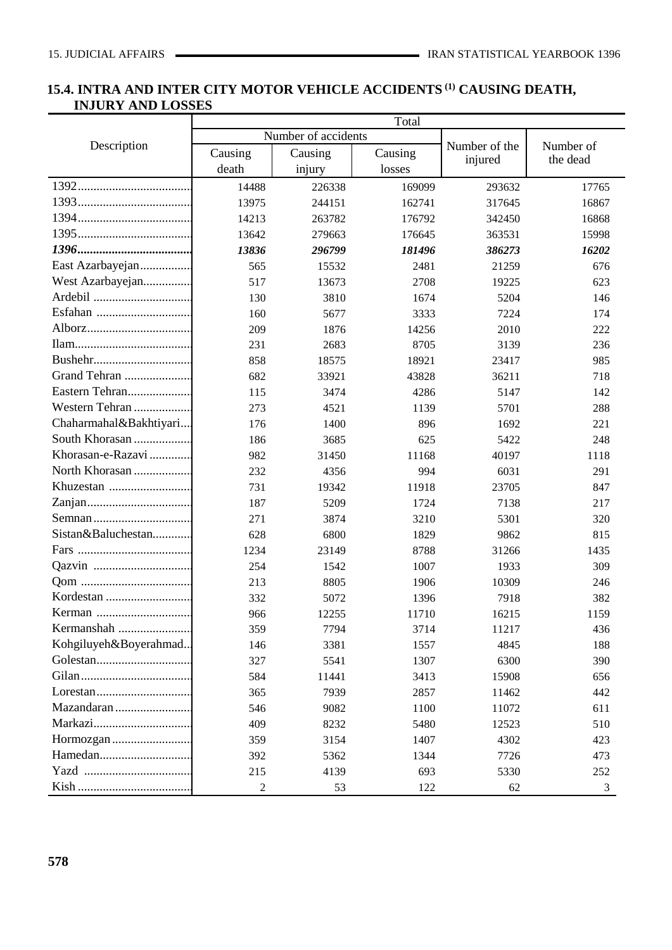# **15.4. INTRA AND INTER CITY MOTOR VEHICLE ACCIDENTS (1) CAUSING DEATH, INJURY AND LOSSES**

|                        | Total   |                     |         |               |                       |  |  |  |  |
|------------------------|---------|---------------------|---------|---------------|-----------------------|--|--|--|--|
|                        |         | Number of accidents |         |               |                       |  |  |  |  |
| Description            | Causing | Causing             | Causing | Number of the | Number of<br>the dead |  |  |  |  |
|                        | death   | injury              | losses  | injured       |                       |  |  |  |  |
|                        | 14488   | 226338              | 169099  | 293632        | 17765                 |  |  |  |  |
|                        | 13975   | 244151              | 162741  | 317645        | 16867                 |  |  |  |  |
|                        | 14213   | 263782              | 176792  | 342450        | 16868                 |  |  |  |  |
|                        | 13642   | 279663              | 176645  | 363531        | 15998                 |  |  |  |  |
|                        | 13836   | 296799              | 181496  | 386273        | 16202                 |  |  |  |  |
| East Azarbayejan       | 565     | 15532               | 2481    | 21259         | 676                   |  |  |  |  |
| West Azarbayejan       | 517     | 13673               | 2708    | 19225         | 623                   |  |  |  |  |
|                        | 130     | 3810                | 1674    | 5204          | 146                   |  |  |  |  |
| Esfahan                | 160     | 5677                | 3333    | 7224          | 174                   |  |  |  |  |
|                        | 209     | 1876                | 14256   | 2010          | 222                   |  |  |  |  |
|                        | 231     | 2683                | 8705    | 3139          | 236                   |  |  |  |  |
|                        | 858     | 18575               | 18921   | 23417         | 985                   |  |  |  |  |
| Grand Tehran           | 682     | 33921               | 43828   | 36211         | 718                   |  |  |  |  |
| Eastern Tehran         | 115     | 3474                | 4286    | 5147          | 142                   |  |  |  |  |
| Western Tehran         | 273     | 4521                | 1139    | 5701          | 288                   |  |  |  |  |
| Chaharmahal&Bakhtiyari | 176     | 1400                | 896     | 1692          | 221                   |  |  |  |  |
| South Khorasan         | 186     | 3685                | 625     | 5422          | 248                   |  |  |  |  |
| Khorasan-e-Razavi      | 982     | 31450               | 11168   | 40197         | 1118                  |  |  |  |  |
| North Khorasan         | 232     | 4356                | 994     | 6031          | 291                   |  |  |  |  |
| Khuzestan              | 731     | 19342               | 11918   | 23705         | 847                   |  |  |  |  |
|                        | 187     | 5209                | 1724    | 7138          | 217                   |  |  |  |  |
|                        | 271     | 3874                | 3210    | 5301          | 320                   |  |  |  |  |
| Sistan&Baluchestan     | 628     | 6800                | 1829    | 9862          | 815                   |  |  |  |  |
|                        | 1234    | 23149               | 8788    | 31266         | 1435                  |  |  |  |  |
|                        | 254     | 1542                | 1007    | 1933          | 309                   |  |  |  |  |
|                        | 213     | 8805                | 1906    | 10309         | 246                   |  |  |  |  |
|                        | 332     | 5072                | 1396    | 7918          | 382                   |  |  |  |  |
|                        | 966     | 12255               | 11710   | 16215         | 1159                  |  |  |  |  |
| Kermanshah             | 359     | 7794                | 3714    | 11217         | 436                   |  |  |  |  |
| Kohgiluyeh&Boyerahmad  | 146     | 3381                | 1557    | 4845          | 188                   |  |  |  |  |
|                        | 327     | 5541                | 1307    | 6300          | 390                   |  |  |  |  |
|                        | 584     | 11441               | 3413    | 15908         | 656                   |  |  |  |  |
|                        | 365     | 7939                | 2857    | 11462         | 442                   |  |  |  |  |
| Mazandaran             | 546     | 9082                | 1100    | 11072         | 611                   |  |  |  |  |
|                        | 409     | 8232                | 5480    | 12523         | 510                   |  |  |  |  |
| Hormozgan              | 359     | 3154                | 1407    | 4302          | 423                   |  |  |  |  |
|                        | 392     | 5362                | 1344    | 7726          | 473                   |  |  |  |  |
|                        | 215     | 4139                | 693     | 5330          | 252                   |  |  |  |  |
|                        | 2       | 53                  | 122     | 62            | 3                     |  |  |  |  |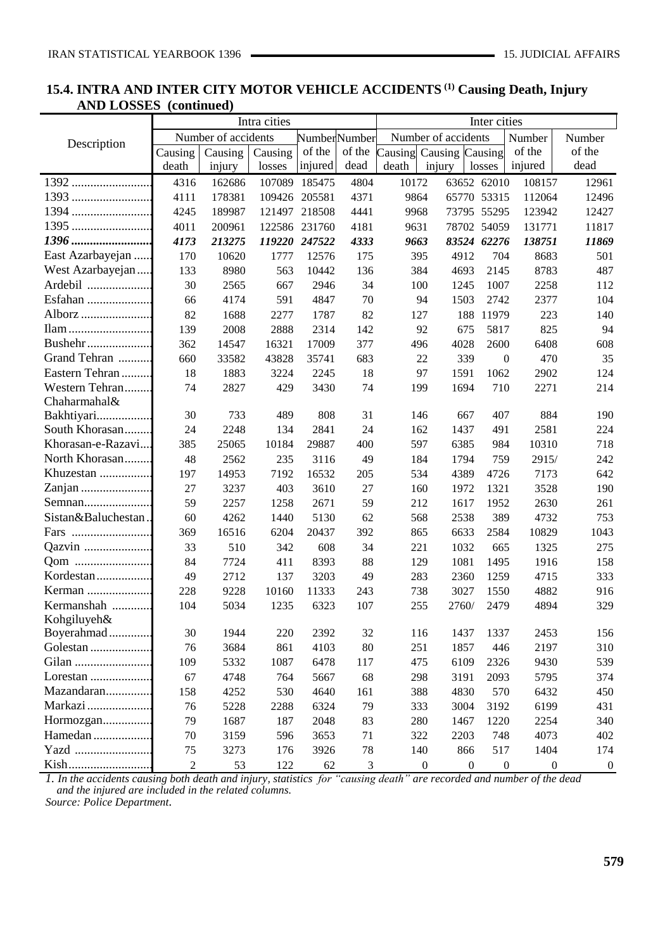## **15.4. INTRA AND INTER CITY MOTOR VEHICLE ACCIDENTS (1) Causing Death, Injury AND LOSSES (continued)**

|                     |                | Intra cities        |         |                     |                | Inter cities                   |                     |                  |                  |                  |
|---------------------|----------------|---------------------|---------|---------------------|----------------|--------------------------------|---------------------|------------------|------------------|------------------|
|                     |                | Number of accidents |         | <b>NumberNumber</b> |                |                                | Number of accidents |                  | Number           | Number           |
| Description         | Causing        | Causing             | Causing | of the              |                | of the Causing Causing Causing |                     |                  | of the           | of the           |
|                     | death          | injury              | losses  | injured             | dead           | $\mathop{\rm death}\nolimits$  | injury              | losses           | injured          | dead             |
| 1392                | 4316           | 162686              | 107089  | 185475              | 4804           | 10172                          |                     | 63652 62010      | 108157           | 12961            |
| 1393                | 4111           | 178381              | 109426  | 205581              | 4371           | 9864                           |                     | 65770 53315      | 112064           | 12496            |
| 1394                | 4245           | 189987              |         | 121497 218508       | 4441           | 9968                           |                     | 73795 55295      | 123942           | 12427            |
| 1395                | 4011           | 200961              |         | 122586 231760       | 4181           | 9631                           |                     | 78702 54059      | 131771           | 11817            |
| 1396                | 4173           | 213275              |         | 119220 247522       | 4333           | 9663                           |                     | 83524 62276      | 138751           | 11869            |
| East Azarbayejan    | 170            | 10620               | 1777    | 12576               | 175            | 395                            | 4912                | 704              | 8683             | 501              |
| West Azarbayejan    | 133            | 8980                | 563     | 10442               | 136            | 384                            | 4693                | 2145             | 8783             | 487              |
| Ardebil             | 30             | 2565                | 667     | 2946                | 34             | 100                            | 1245                | 1007             | 2258             | 112              |
| Esfahan             | 66             | 4174                | 591     | 4847                | $70\,$         | 94                             | 1503                | 2742             | 2377             | 104              |
| Alborz              | 82             | 1688                | 2277    | 1787                | 82             | 127                            | 188                 | 11979            | 223              | 140              |
| Ilam                | 139            | 2008                | 2888    | 2314                | 142            | 92                             | 675                 | 5817             | 825              | 94               |
| Bushehr             | 362            | 14547               | 16321   | 17009               | 377            | 496                            | 4028                | 2600             | 6408             | 608              |
| Grand Tehran        | 660            | 33582               | 43828   | 35741               | 683            | 22                             | 339                 | $\boldsymbol{0}$ | 470              | 35               |
| Eastern Tehran      | 18             | 1883                | 3224    | 2245                | 18             | 97                             | 1591                | 1062             | 2902             | 124              |
| Western Tehran      | 74             | 2827                | 429     | 3430                | 74             | 199                            | 1694                | 710              | 2271             | 214              |
| Chaharmahal&        |                |                     |         |                     |                |                                |                     |                  |                  |                  |
| Bakhtiyari          | 30             | 733                 | 489     | 808                 | 31             | 146                            | 667                 | 407              | 884              | 190              |
| South Khorasan      | 24             | 2248                | 134     | 2841                | 24             | 162                            | 1437                | 491              | 2581             | 224              |
| Khorasan-e-Razavi   | 385            | 25065               | 10184   | 29887               | 400            | 597                            | 6385                | 984              | 10310            | 718              |
| North Khorasan      | 48             | 2562                | 235     | 3116                | 49             | 184                            | 1794                | 759              | 2915/            | 242              |
| Khuzestan           | 197            | 14953               | 7192    | 16532               | 205            | 534                            | 4389                | 4726             | 7173             | 642              |
| Zanjan              | 27             | 3237                | 403     | 3610                | 27             | 160                            | 1972                | 1321             | 3528             | 190              |
| Semnan              | 59             | 2257                | 1258    | 2671                | 59             | 212                            | 1617                | 1952             | 2630             | 261              |
| Sistan&Baluchestan. | 60             | 4262                | 1440    | 5130                | 62             | 568                            | 2538                | 389              | 4732             | 753              |
| Fars                | 369            | 16516               | 6204    | 20437               | 392            | 865                            | 6633                | 2584             | 10829            | 1043             |
| Qazvin              | 33             | 510                 | 342     | 608                 | 34             | 221                            | 1032                | 665              | 1325             | 275              |
| Qom                 | 84             | 7724                | 411     | 8393                | 88             | 129                            | 1081                | 1495             | 1916             | 158              |
| Kordestan           | 49             | 2712                | 137     | 3203                | 49             | 283                            | 2360                | 1259             | 4715             | 333              |
| Kerman              | 228            | 9228                | 10160   | 11333               | 243            | 738                            | 3027                | 1550             | 4882             | 916              |
| Kermanshah          | 104            | 5034                | 1235    | 6323                | 107            | 255                            | 2760/               | 2479             | 4894             | 329              |
| Kohgiluyeh&         |                |                     |         |                     |                |                                |                     |                  |                  |                  |
| Boyerahmad          | 30             | 1944                | 220     | 2392                | 32             | 116                            | 1437                | 1337             | 2453             | 156              |
| Golestan            | 76             | 3684                | 861     | 4103                | 80             | 251                            | 1857                | 446              | 2197             | 310              |
| Gilan               | 109            | 5332                | 1087    | 6478                | 117            | 475                            | 6109                | 2326             | 9430             | 539              |
| Lorestan            | 67             | 4748                | 764     | 5667                | 68             | 298                            | 3191                | 2093             | 5795             | 374              |
| Mazandaran          | 158            | 4252                | 530     | 4640                | 161            | 388                            | 4830                | 570              | 6432             | 450              |
| Markazi             | 76             | 5228                | 2288    | 6324                | 79             | 333                            | 3004                | 3192             | 6199             | 431              |
| Hormozgan           | 79             | 1687                | 187     | 2048                | 83             | 280                            | 1467                | 1220             | 2254             | 340              |
| Hamedan             | 70             | 3159                | 596     | 3653                | 71             | 322                            | 2203                | 748              | 4073             | 402              |
| Yazd                | 75             | 3273                | 176     | 3926                | 78             | 140                            | 866                 | 517              | 1404             | 174              |
| Kish                | $\overline{2}$ | 53                  | 122     | 62                  | $\mathfrak{Z}$ | $\boldsymbol{0}$               | $\boldsymbol{0}$    | $\boldsymbol{0}$ | $\boldsymbol{0}$ | $\boldsymbol{0}$ |

*1. In the accidents causing both death and injury, statistics for "causing death" are recorded and number of the dead and the injured are included in the related columns.*

*Source: Police Department.*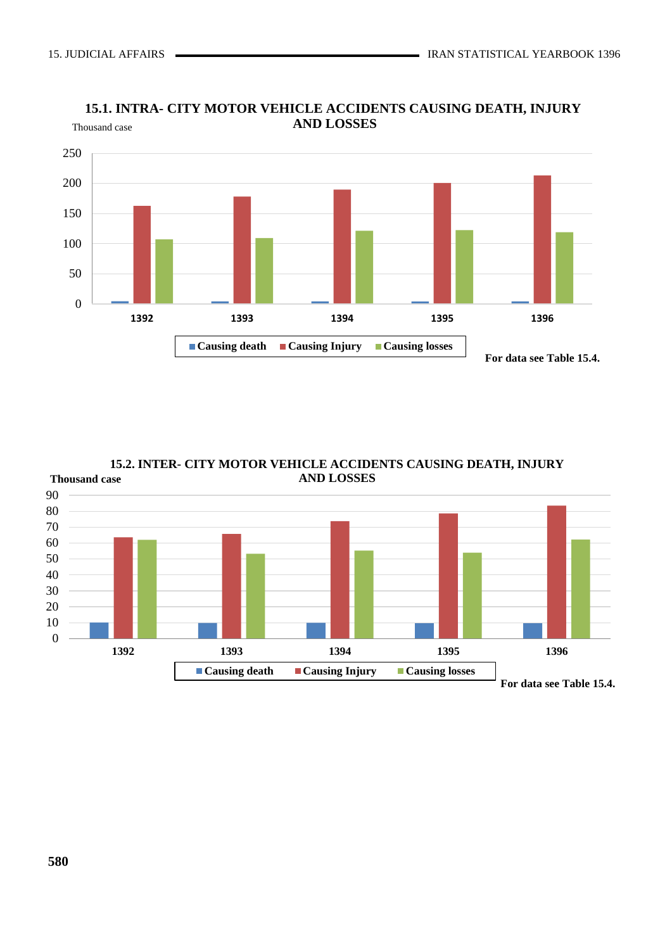

### **15.1. INTRA- CITY MOTOR VEHICLE ACCIDENTS CAUSING DEATH, INJURY** Thousand case **AND LOSSES**

**15.2. INTER- CITY MOTOR VEHICLE ACCIDENTS CAUSING DEATH, INJURY AND LOSSES Thousand case**

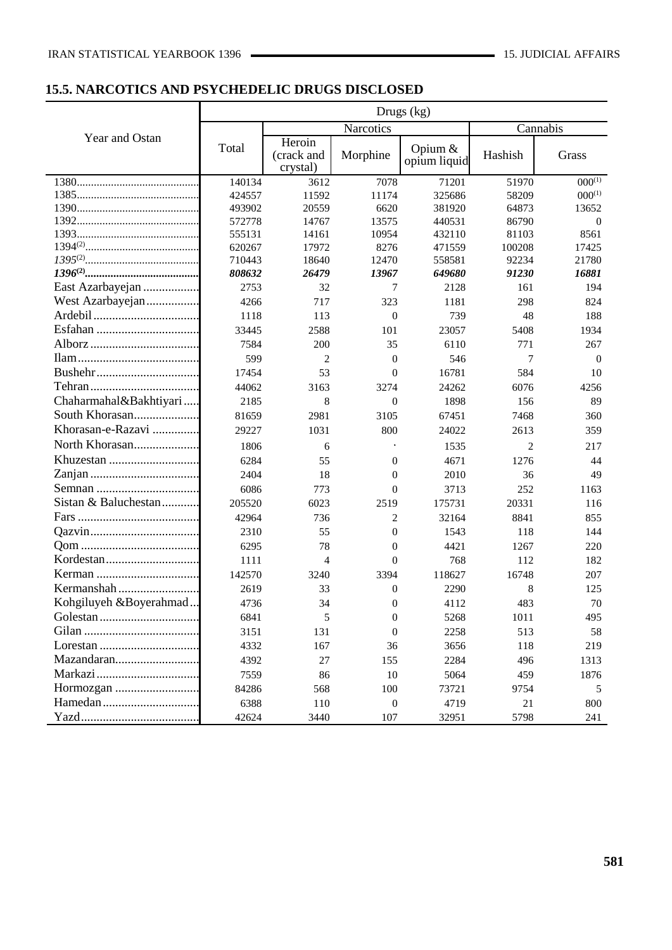# **15.5. NARCOTICS AND PSYCHEDELIC DRUGS DISCLOSED**

|                                                                      |                |                                  |                  | Drugs $(kg)$            |                |             |
|----------------------------------------------------------------------|----------------|----------------------------------|------------------|-------------------------|----------------|-------------|
|                                                                      |                |                                  | Narcotics        |                         | Cannabis       |             |
| Year and Ostan                                                       | Total          | Heroin<br>(crack and<br>crystal) | Morphine         | Opium &<br>opium liquid | Hashish        | Grass       |
|                                                                      | 140134         | 3612                             | 7078             | 71201                   | 51970          | $000^{(1)}$ |
|                                                                      | 424557         | 11592                            | 11174            | 325686                  | 58209          | $000^{(1)}$ |
|                                                                      | 493902         | 20559                            | 6620             | 381920                  | 64873          | 13652       |
|                                                                      | 572778         | 14767                            | 13575            | 440531                  | 86790          | $\theta$    |
|                                                                      | 555131         | 14161                            | 10954            | 432110                  | 81103          | 8561        |
|                                                                      | 620267         | 17972                            | 8276             | 471559                  | 100208         | 17425       |
|                                                                      | 710443         | 18640                            | 12470            | 558581                  | 92234          | 21780       |
| East Azarbayejan                                                     | 808632<br>2753 | 26479                            | 13967<br>7       | 649680                  | 91230          | 16881       |
|                                                                      |                | 32                               |                  | 2128                    | 161            | 194         |
| West Azarbayejan                                                     | 4266           | 717                              | 323              | 1181                    | 298            | 824         |
|                                                                      | 1118           | 113                              | $\theta$         | 739                     | 48             | 188         |
|                                                                      | 33445          | 2588                             | 101              | 23057                   | 5408           | 1934        |
|                                                                      | 7584           | 200                              | 35               | 6110                    | 771            | 267         |
|                                                                      | 599            | 2                                | $\theta$         | 546                     | 7              | $\theta$    |
|                                                                      | 17454          | 53                               | $\Omega$         | 16781                   | 584            | 10          |
|                                                                      | 44062          | 3163                             | 3274             | 24262                   | 6076           | 4256        |
| Chaharmahal&Bakhtiyari                                               | 2185           | 8                                | $\theta$         | 1898                    | 156            | 89          |
| South Khorasan                                                       | 81659          | 2981                             | 3105             | 67451                   | 7468           | 360         |
| Khorasan-e-Razavi                                                    | 29227          | 1031                             | 800              | 24022                   | 2613           | 359         |
| North Khorasan                                                       | 1806           | 6                                |                  | 1535                    | $\overline{2}$ | 217         |
|                                                                      | 6284           | 55                               | $\theta$         | 4671                    | 1276           | 44          |
|                                                                      | 2404           | 18                               | $\overline{0}$   | 2010                    | 36             | 49          |
|                                                                      | 6086           | 773                              | $\theta$         | 3713                    | 252            | 1163        |
| Sistan & Baluchestan                                                 | 205520         | 6023                             | 2519             | 175731                  | 20331          | 116         |
|                                                                      | 42964          | 736                              | 2                | 32164                   | 8841           | 855         |
|                                                                      | 2310           | 55                               | $\overline{0}$   | 1543                    | 118            | 144         |
|                                                                      | 6295           | 78                               | $\overline{0}$   | 4421                    | 1267           | 220         |
|                                                                      | 1111           | $\overline{4}$                   | $\Omega$         | 768                     | 112            | 182         |
|                                                                      | 142570         | 3240                             | 3394             | 118627                  | 16748          | 207         |
|                                                                      | 2619           | 33                               | $\overline{0}$   | 2290                    | 8              | 125         |
| Kohgiluyeh &Boyerahmad                                               | 4736           | 34                               | $\boldsymbol{0}$ | 4112                    | 483            | 70          |
|                                                                      | 6841           | 5                                | $\boldsymbol{0}$ | 5268                    | 1011           | 495         |
|                                                                      | 3151           | 131                              | $\Omega$         | 2258                    | 513            | 58          |
| $Lores \tan \ldots \ldots \ldots \ldots \ldots \ldots \ldots \ldots$ | 4332           | 167                              | 36               | 3656                    | 118            | 219         |
| Mazandaran                                                           | 4392           | 27                               | 155              | 2284                    | 496            | 1313        |
|                                                                      | 7559           | 86                               | 10               | 5064                    | 459            | 1876        |
|                                                                      | 84286          | 568                              | 100              | 73721                   | 9754           | 5           |
|                                                                      | 6388           | 110                              | $\boldsymbol{0}$ | 4719                    | 21             | 800         |
|                                                                      | 42624          | 3440                             | 107              | 32951                   | 5798           | 241         |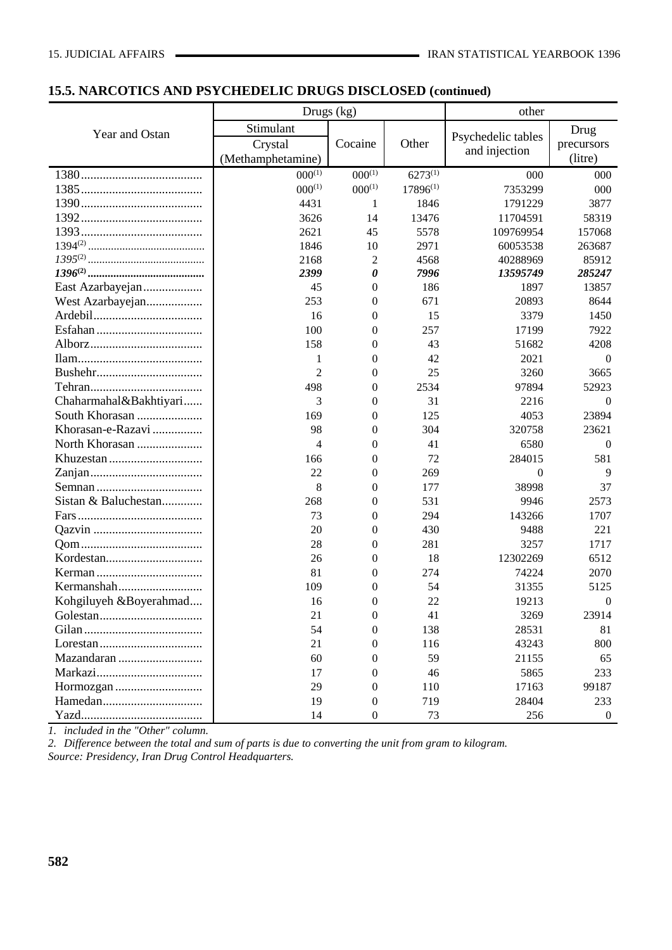# **15.5. NARCOTICS AND PSYCHEDELIC DRUGS DISCLOSED (continued)**

|                        |                   | Drugs (kg)       |               | other              |                  |
|------------------------|-------------------|------------------|---------------|--------------------|------------------|
| Year and Ostan         | Stimulant         |                  |               |                    | Drug             |
|                        | Crystal           | Cocaine          | Other         | Psychedelic tables | precursors       |
|                        | (Methamphetamine) |                  |               | and injection      | (litre)          |
|                        | $000^{(1)}$       | $000^{(1)}$      | $6273^{(1)}$  | 000                | 000              |
|                        | $000^{(1)}$       | $000^{(1)}$      | $17896^{(1)}$ | 7353299            | 000              |
|                        | 4431              | 1                | 1846          | 1791229            | 3877             |
|                        | 3626              | 14               | 13476         | 11704591           | 58319            |
|                        | 2621              | 45               | 5578          | 109769954          | 157068           |
|                        | 1846              | 10               | 2971          | 60053538           | 263687           |
|                        | 2168              | 2                | 4568          | 40288969           | 85912            |
|                        | 2399              | 0                | 7996          | 13595749           | 285247           |
| East Azarbayejan       | 45                | $\mathbf{0}$     | 186           | 1897               | 13857            |
| West Azarbayejan       | 253               | $\mathbf{0}$     | 671           | 20893              | 8644             |
|                        | 16                | $\boldsymbol{0}$ | 15            | 3379               | 1450             |
|                        | 100               | $\theta$         | 257           | 17199              | 7922             |
|                        | 158               | $\boldsymbol{0}$ | 43            | 51682              | 4208             |
|                        | 1                 | $\boldsymbol{0}$ | 42            | 2021               | $\theta$         |
|                        | $\overline{c}$    | $\boldsymbol{0}$ | 25            | 3260               | 3665             |
|                        | 498               | $\mathbf{0}$     | 2534          | 97894              | 52923            |
| Chaharmahal&Bakhtiyari | 3                 | $\mathbf{0}$     | 31            | 2216               | $\theta$         |
| South Khorasan         | 169               | $\mathbf{0}$     | 125           | 4053               | 23894            |
| Khorasan-e-Razavi      | 98                | $\mathbf{0}$     | 304           | 320758             | 23621            |
| North Khorasan         | 4                 | $\boldsymbol{0}$ | 41            | 6580               | $\theta$         |
|                        | 166               | $\mathbf{0}$     | 72            | 284015             | 581              |
|                        | 22                | $\boldsymbol{0}$ | 269           | $\overline{0}$     | 9                |
|                        | 8                 | $\boldsymbol{0}$ | 177           | 38998              | 37               |
| Sistan & Baluchestan   | 268               | $\boldsymbol{0}$ | 531           | 9946               | 2573             |
|                        | 73                | $\mathbf{0}$     | 294           | 143266             | 1707             |
|                        | 20                | $\mathbf{0}$     | 430           | 9488               | 221              |
|                        | 28                | $\mathbf{0}$     | 281           | 3257               | 1717             |
|                        | 26                | $\mathbf{0}$     | 18            | 12302269           | 6512             |
|                        | 81                | $\mathbf{0}$     | 274           | 74224              | 2070             |
|                        | 109               | $\theta$         | 54            | 31355              | 5125             |
| Kohgiluyeh &Boyerahmad | 16                | $\boldsymbol{0}$ | 22            | 19213              | $\boldsymbol{0}$ |
|                        | 21                | $\boldsymbol{0}$ | 41            | 3269               | 23914            |
|                        | 54                | $\mathbf{0}$     | 138           | 28531              | 81               |
|                        | 21                | $\overline{0}$   | 116           | 43243              | 800              |
| Mazandaran             | 60                | $\Omega$         | 59            | 21155              | 65               |
|                        | 17                | 0                | 46            | 5865               | 233              |
|                        | 29                | $\overline{0}$   | 110           | 17163              | 99187            |
|                        | 19                | $\mathbf{0}$     | 719           | 28404              | 233              |
|                        | 14                | $\boldsymbol{0}$ | 73            | 256                | $\overline{0}$   |

*1. included in the "Other" column.*

*2. Difference between the total and sum of parts is due to converting the unit from gram to kilogram. Source: Presidency, Iran Drug Control Headquarters.*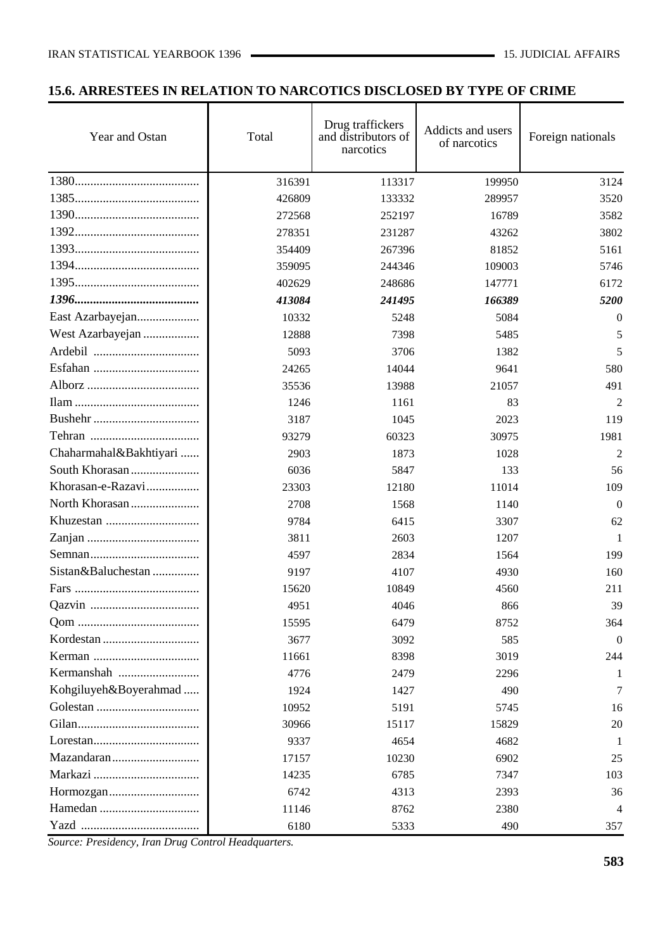# **15.6. ARRESTEES IN RELATION TO NARCOTICS DISCLOSED BY TYPE OF CRIME**

| Year and Ostan         | Total  | Drug traffickers<br>and distributors of<br>narcotics | Addicts and users<br>of narcotics | Foreign nationals |
|------------------------|--------|------------------------------------------------------|-----------------------------------|-------------------|
|                        | 316391 | 113317                                               | 199950                            | 3124              |
|                        | 426809 | 133332                                               | 289957                            | 3520              |
|                        | 272568 | 252197                                               | 16789                             | 3582              |
|                        | 278351 | 231287                                               | 43262                             | 3802              |
|                        | 354409 | 267396                                               | 81852                             | 5161              |
|                        | 359095 | 244346                                               | 109003                            | 5746              |
|                        | 402629 | 248686                                               | 147771                            | 6172              |
|                        | 413084 | 241495                                               | 166389                            | 5200              |
| East Azarbayejan       | 10332  | 5248                                                 | 5084                              | $\Omega$          |
| West Azarbayejan       | 12888  | 7398                                                 | 5485                              | 5                 |
|                        | 5093   | 3706                                                 | 1382                              | 5                 |
|                        | 24265  | 14044                                                | 9641                              | 580               |
|                        | 35536  | 13988                                                | 21057                             | 491               |
|                        | 1246   | 1161                                                 | 83                                | $\overline{2}$    |
|                        | 3187   | 1045                                                 | 2023                              | 119               |
|                        | 93279  | 60323                                                | 30975                             | 1981              |
| Chaharmahal&Bakhtiyari | 2903   | 1873                                                 | 1028                              | 2                 |
|                        | 6036   | 5847                                                 | 133                               | 56                |
| Khorasan-e-Razavi      | 23303  | 12180                                                | 11014                             | 109               |
|                        | 2708   | 1568                                                 | 1140                              | $\overline{0}$    |
|                        | 9784   | 6415                                                 | 3307                              | 62                |
|                        | 3811   | 2603                                                 | 1207                              | 1                 |
|                        | 4597   | 2834                                                 | 1564                              | 199               |
| Sistan&Baluchestan     | 9197   | 4107                                                 | 4930                              | 160               |
|                        | 15620  | 10849                                                | 4560                              | 211               |
|                        | 4951   | 4046                                                 | 866                               | 39                |
|                        | 15595  | 6479                                                 | 8752                              | 364               |
|                        | 3677   | 3092                                                 | 585                               | $\theta$          |
|                        | 11661  | 8398                                                 | 3019                              | 244               |
| Kermanshah             | 4776   | 2479                                                 | 2296                              | 1                 |
| Kohgiluyeh&Boyerahmad  | 1924   | 1427                                                 | 490                               | 7                 |
|                        | 10952  | 5191                                                 | 5745                              | 16                |
|                        | 30966  | 15117                                                | 15829                             | 20                |
|                        | 9337   | 4654                                                 | 4682                              | 1                 |
|                        | 17157  | 10230                                                | 6902                              | 25                |
|                        | 14235  | 6785                                                 | 7347                              | 103               |
|                        | 6742   | 4313                                                 | 2393                              | 36                |
|                        | 11146  | 8762                                                 | 2380                              | 4                 |
|                        | 6180   | 5333                                                 | 490                               | 357               |

*Source: Presidency, Iran Drug Control Headquarters.*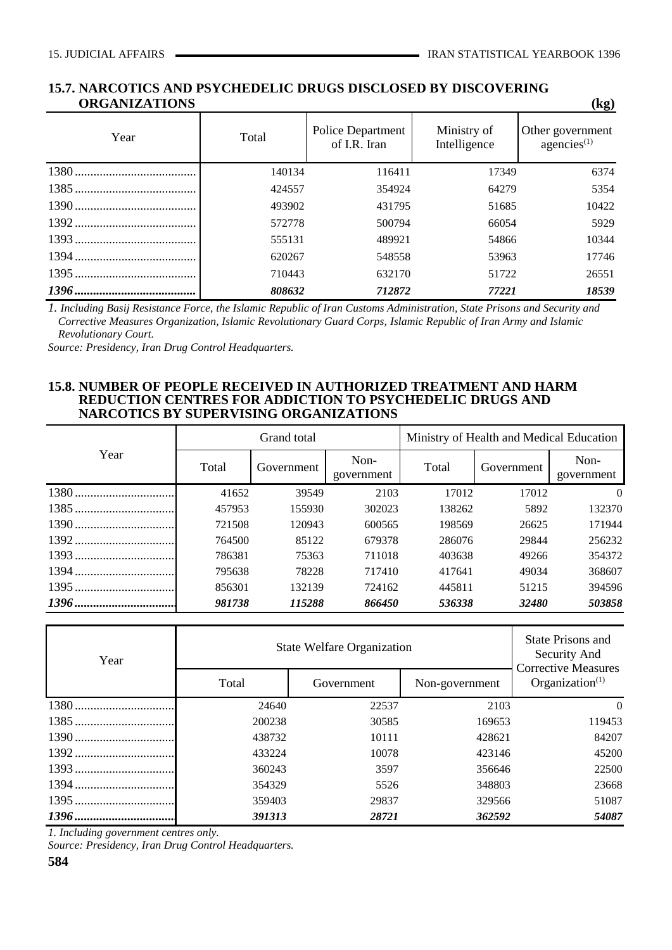#### **15.7. NARCOTICS AND PSYCHEDELIC DRUGS DISCLOSED BY DISCOVERING ORGANIZATIONS (kg)**

| <u> 911988 11988 11998 10</u> |        |                                          |       | $\mathbf{H}$                       |
|-------------------------------|--------|------------------------------------------|-------|------------------------------------|
| Year                          | Total  | <b>Police Department</b><br>of I.R. Iran |       | Other government<br>agencies $(1)$ |
|                               | 140134 | 116411                                   | 17349 | 6374                               |
|                               | 424557 | 354924                                   | 64279 | 5354                               |
|                               | 493902 | 431795                                   | 51685 | 10422                              |
|                               | 572778 | 500794                                   | 66054 | 5929                               |
|                               | 555131 | 489921                                   | 54866 | 10344                              |
|                               | 620267 | 548558                                   | 53963 | 17746                              |
|                               | 710443 | 632170                                   | 51722 | 26551                              |
|                               | 808632 | 712872                                   | 77221 | 18539                              |

*1. Including Basij Resistance Force, the Islamic Republic of Iran Customs Administration, State Prisons and Security and Corrective Measures Organization, Islamic Revolutionary Guard Corps, Islamic Republic of Iran Army and Islamic Revolutionary Court.* 

*Source: Presidency, Iran Drug Control Headquarters.*

#### **15.8. NUMBER OF PEOPLE RECEIVED IN AUTHORIZED TREATMENT AND HARM REDUCTION CENTRES FOR ADDICTION TO PSYCHEDELIC DRUGS AND NARCOTICS BY SUPERVISING ORGANIZATIONS**

| Year |        | Grand total |                    | Ministry of Health and Medical Education |            |                    |  |  |
|------|--------|-------------|--------------------|------------------------------------------|------------|--------------------|--|--|
|      | Total  | Government  | Non-<br>government | Total                                    | Government | Non-<br>government |  |  |
|      | 41652  | 39549       | 2103               | 17012                                    | 17012      | $\Omega$           |  |  |
|      | 457953 | 155930      | 302023             | 138262                                   | 5892       | 132370             |  |  |
|      | 721508 | 120943      | 600565             | 198569                                   | 26625      | 171944             |  |  |
|      | 764500 | 85122       | 679378             | 286076                                   | 29844      | 256232             |  |  |
|      | 786381 | 75363       | 711018             | 403638                                   | 49266      | 354372             |  |  |
|      | 795638 | 78228       | 717410             | 417641                                   | 49034      | 368607             |  |  |
|      | 856301 | 132139      | 724162             | 445811                                   | 51215      | 394596             |  |  |
|      | 981738 | 115288      | 866450             | 536338                                   | 32480      | 503858             |  |  |

| Year |        | <b>State Welfare Organization</b> |                |                                                  |  |  |  |
|------|--------|-----------------------------------|----------------|--------------------------------------------------|--|--|--|
|      | Total  | Government                        | Non-government | <b>Corrective Measures</b><br>Organization $(1)$ |  |  |  |
|      | 24640  | 22537                             | 2103           | $\Omega$                                         |  |  |  |
|      | 200238 | 30585                             | 169653         | 119453                                           |  |  |  |
|      | 438732 | 10111                             | 428621         | 84207                                            |  |  |  |
|      | 433224 | 10078                             | 423146         | 45200                                            |  |  |  |
|      | 360243 | 3597                              | 356646         | 22500                                            |  |  |  |
|      | 354329 | 5526                              | 348803         | 23668                                            |  |  |  |
|      | 359403 | 29837                             | 329566         | 51087                                            |  |  |  |
|      | 391313 | 28721                             | 362592         | 54087                                            |  |  |  |

*1. Including government centres only.*

*Source: Presidency, Iran Drug Control Headquarters.*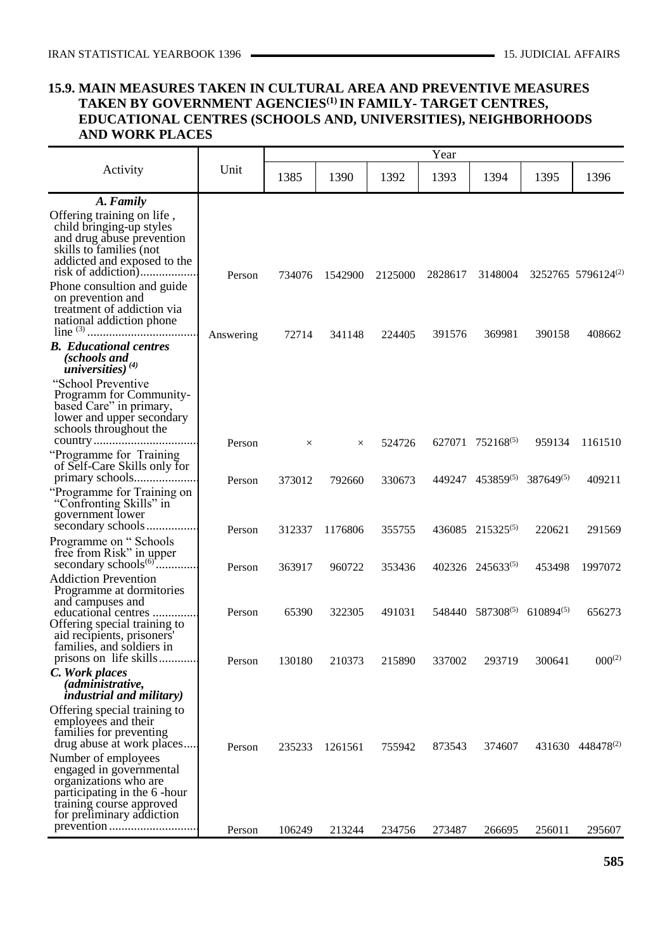#### **15.9. MAIN MEASURES TAKEN IN CULTURAL AREA AND PREVENTIVE MEASURES TAKEN BY GOVERNMENT AGENCIES(1)IN FAMILY- TARGET CENTRES, EDUCATIONAL CENTRES (SCHOOLS AND, UNIVERSITIES), NEIGHBORHOODS AND WORK PLACES**

|                                                                                                                                                                     |           |          |          |         | Year    |                                                  |                       |                                |
|---------------------------------------------------------------------------------------------------------------------------------------------------------------------|-----------|----------|----------|---------|---------|--------------------------------------------------|-----------------------|--------------------------------|
| Activity                                                                                                                                                            | Unit      | 1385     | 1390     | 1392    | 1393    | 1394                                             | 1395                  | 1396                           |
| A. Family                                                                                                                                                           |           |          |          |         |         |                                                  |                       |                                |
| Offering training on life,<br>child bringing-up styles<br>and drug abuse prevention<br>skills to families (not<br>addicted and exposed to the<br>risk of addiction) | Person    | 734076   | 1542900  | 2125000 | 2828617 | 3148004                                          |                       | 3252765 5796124 <sup>(2)</sup> |
| Phone consultion and guide<br>on prevention and<br>treatment of addiction via<br>national addiction phone                                                           | Answering | 72714    | 341148   | 224405  | 391576  | 369981                                           | 390158                | 408662                         |
| <b>B.</b> Educational centres<br>(schools and<br>universities) $^{(4)}$                                                                                             |           |          |          |         |         |                                                  |                       |                                |
| "School Preventive"<br>Programm for Community-<br>based Care" in primary,<br>lower and upper secondary<br>schools throughout the                                    |           |          |          |         |         |                                                  |                       |                                |
| "Programme for Training"<br>of Self-Care Skills only for                                                                                                            | Person    | $\times$ | $\times$ | 524726  | 627071  | $752168^{(5)}$                                   | 959134                | 1161510                        |
| "Programme for Training on<br>"Confronting Skills" in<br>government lower                                                                                           | Person    | 373012   | 792660   | 330673  | 449247  | $453859^{(5)}$                                   | 387649 <sup>(5)</sup> | 409211                         |
| secondary schools<br>Programme on "Schools"<br>free from Risk" in upper<br>secondary schools <sup>(6)</sup>                                                         | Person    | 312337   | 1176806  | 355755  |         | 436085 215325 <sup>(5)</sup><br>402326 245633(5) | 220621<br>453498      | 291569<br>1997072              |
| <b>Addiction Prevention</b><br>Programme at dormitories<br>and campuses and                                                                                         | Person    | 363917   | 960722   | 353436  |         |                                                  |                       |                                |
| educational centres<br>Offering special training to<br>aid recipients, prisoners'<br>families, and soldiers in                                                      | Person    | 65390    | 322305   | 491031  |         | $548440$ $587308^{(5)}$ 610894 <sup>(5)</sup>    |                       | 656273                         |
| prisons on life skills<br>C. Work places<br><i>(administrative,</i>                                                                                                 | Person    | 130180   | 210373   | 215890  | 337002  | 293719                                           | 300641                | $000^{(2)}$                    |
| <i>industrial and military)</i>                                                                                                                                     |           |          |          |         |         |                                                  |                       |                                |
| Offering special training to<br>employees and their<br>families for preventing<br>drug abuse at work places                                                         | Person    | 235233   | 1261561  | 755942  | 873543  | 374607                                           |                       | 431630 448478 <sup>(2)</sup>   |
| Number of employees<br>engaged in governmental<br>organizations who are<br>participating in the 6-hour<br>training course approved<br>for preliminary addiction     |           |          |          |         |         |                                                  |                       |                                |
|                                                                                                                                                                     | Person    | 106249   | 213244   | 234756  | 273487  | 266695                                           | 256011                | 295607                         |